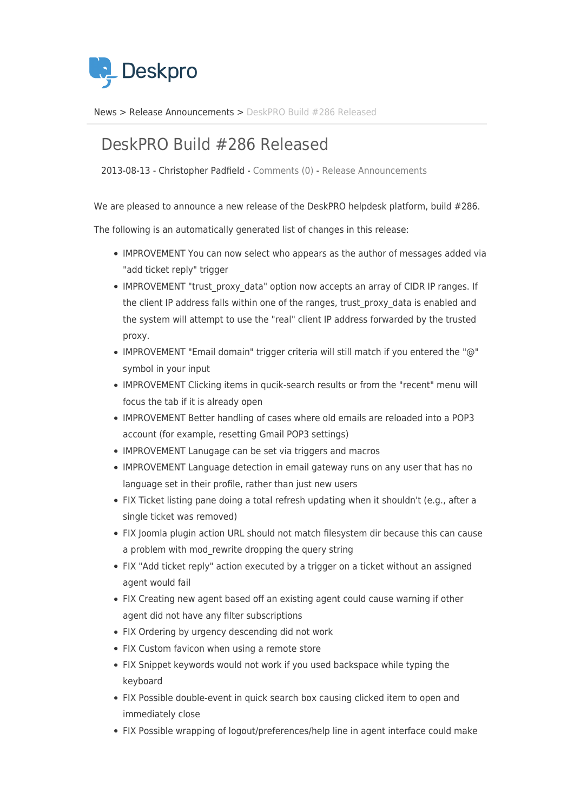

[News](https://support.deskpro.com/vi/news) > [Release Announcements](https://support.deskpro.com/vi/news/release-announcements) > [DeskPRO Build #286 Released](https://support.deskpro.com/vi/news/posts/deskpro-build-286-released)

## DeskPRO Build #286 Released

2013-08-13 - Christopher Padfield - [Comments \(0\)](#page--1-0) - [Release Announcements](https://support.deskpro.com/vi/news/release-announcements)

We are pleased to announce a new release of the DeskPRO helpdesk platform, build #286.

The following is an automatically generated list of changes in this release:

- IMPROVEMENT You can now select who appears as the author of messages added via "add ticket reply" trigger
- IMPROVEMENT "trust\_proxy\_data" option now accepts an array of CIDR IP ranges. If the client IP address falls within one of the ranges, trust\_proxy\_data is enabled and the system will attempt to use the "real" client IP address forwarded by the trusted proxy.
- IMPROVEMENT "Email domain" trigger criteria will still match if you entered the "@" symbol in your input
- IMPROVEMENT Clicking items in qucik-search results or from the "recent" menu will focus the tab if it is already open
- IMPROVEMENT Better handling of cases where old emails are reloaded into a POP3 account (for example, resetting Gmail POP3 settings)
- IMPROVEMENT Lanugage can be set via triggers and macros
- IMPROVEMENT Language detection in email gateway runs on any user that has no language set in their profile, rather than just new users
- FIX Ticket listing pane doing a total refresh updating when it shouldn't (e.g., after a single ticket was removed)
- FIX Joomla plugin action URL should not match filesystem dir because this can cause a problem with mod rewrite dropping the query string
- FIX "Add ticket reply" action executed by a trigger on a ticket without an assigned agent would fail
- FIX Creating new agent based off an existing agent could cause warning if other agent did not have any filter subscriptions
- FIX Ordering by urgency descending did not work
- FIX Custom favicon when using a remote store
- FIX Snippet keywords would not work if you used backspace while typing the keyboard
- FIX Possible double-event in quick search box causing clicked item to open and immediately close
- FIX Possible wrapping of logout/preferences/help line in agent interface could make